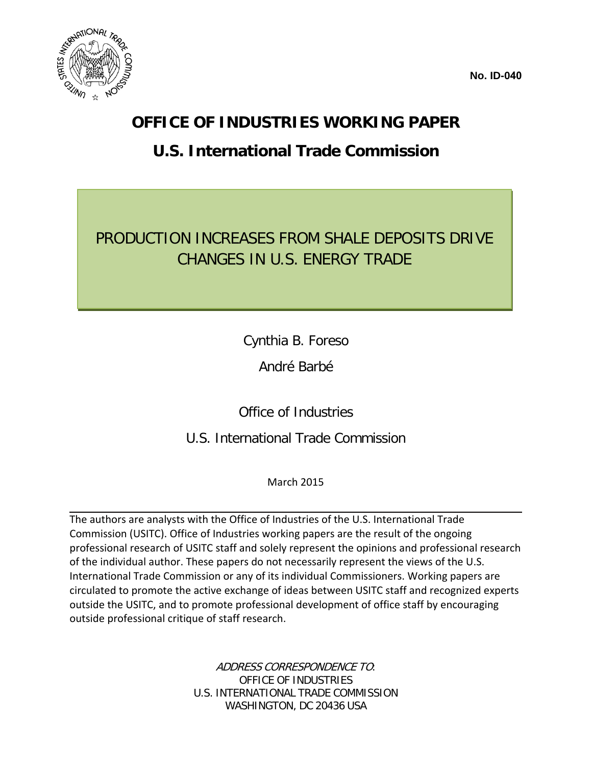



#### **OFFICE OF INDUSTRIES WORKING PAPER**

#### **U.S. International Trade Commission**

#### PRODUCTION INCREASES FROM SHALE DEPOSITS DRIVE CHANGES IN U.S. ENERGY TRADE

Cynthia B. Foreso

André Barbé

Office of Industries

U.S. International Trade Commission

March 2015

The authors are analysts with the Office of Industries of the U.S. International Trade Commission (USITC). Office of Industries working papers are the result of the ongoing professional research of USITC staff and solely represent the opinions and professional research of the individual author. These papers do not necessarily represent the views of the U.S. International Trade Commission or any of its individual Commissioners. Working papers are circulated to promote the active exchange of ideas between USITC staff and recognized experts outside the USITC, and to promote professional development of office staff by encouraging outside professional critique of staff research.

> ADDRESS CORRESPONDENCE TO: OFFICE OF INDUSTRIES U.S. INTERNATIONAL TRADE COMMISSION WASHINGTON, DC 20436 USA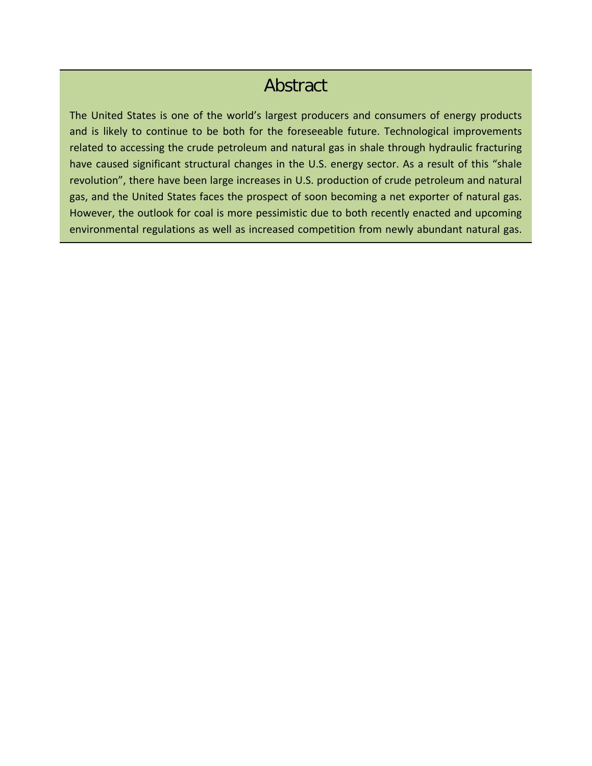#### Abstract

The United States is one of the world's largest producers and consumers of energy products and is likely to continue to be both for the foreseeable future. Technological improvements related to accessing the crude petroleum and natural gas in shale through hydraulic fracturing have caused significant structural changes in the U.S. energy sector. As a result of this "shale revolution", there have been large increases in U.S. production of crude petroleum and natural gas, and the United States faces the prospect of soon becoming a net exporter of natural gas. However, the outlook for coal is more pessimistic due to both recently enacted and upcoming environmental regulations as well as increased competition from newly abundant natural gas.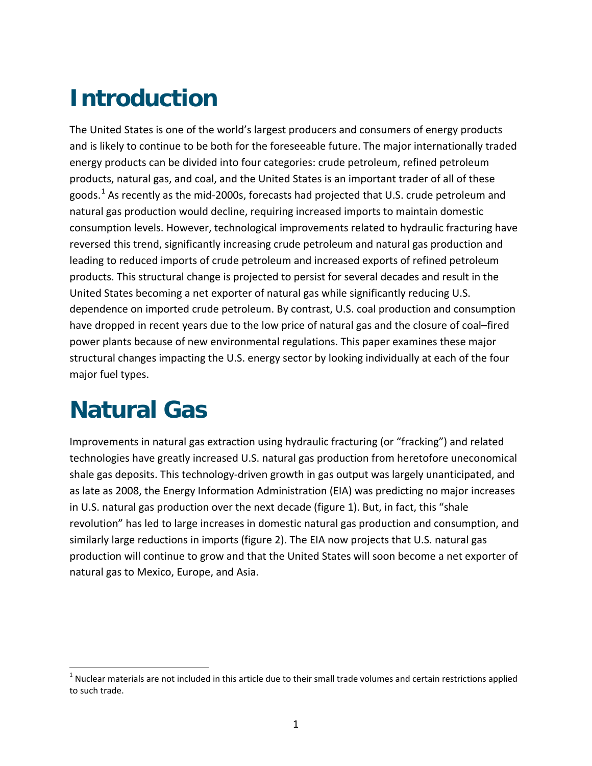## **Introduction**

The United States is one of the world's largest producers and consumers of energy products and is likely to continue to be both for the foreseeable future. The major internationally traded energy products can be divided into four categories: crude petroleum, refined petroleum products, natural gas, and coal, and the United States is an important trader of all of these goods.<sup>[1](#page-4-0)</sup> As recently as the mid-2000s, forecasts had projected that U.S. crude petroleum and natural gas production would decline, requiring increased imports to maintain domestic consumption levels. However, technological improvements related to hydraulic fracturing have reversed this trend, significantly increasing crude petroleum and natural gas production and leading to reduced imports of crude petroleum and increased exports of refined petroleum products. This structural change is projected to persist for several decades and result in the United States becoming a net exporter of natural gas while significantly reducing U.S. dependence on imported crude petroleum. By contrast, U.S. coal production and consumption have dropped in recent years due to the low price of natural gas and the closure of coal–fired power plants because of new environmental regulations. This paper examines these major structural changes impacting the U.S. energy sector by looking individually at each of the four major fuel types.

## **Natural Gas**

 $\overline{a}$ 

Improvements in natural gas extraction using hydraulic fracturing (or "fracking") and related technologies have greatly increased U.S. natural gas production from heretofore uneconomical shale gas deposits. This technology-driven growth in gas output was largely unanticipated, and as late as 2008, the Energy Information Administration (EIA) was predicting no major increases in U.S. natural gas production over the next decade (figure 1). But, in fact, this "shale revolution" has led to large increases in domestic natural gas production and consumption, and similarly large reductions in imports (figure 2). The EIA now projects that U.S. natural gas production will continue to grow and that the United States will soon become a net exporter of natural gas to Mexico, Europe, and Asia.

<span id="page-4-0"></span> $1$  Nuclear materials are not included in this article due to their small trade volumes and certain restrictions applied to such trade.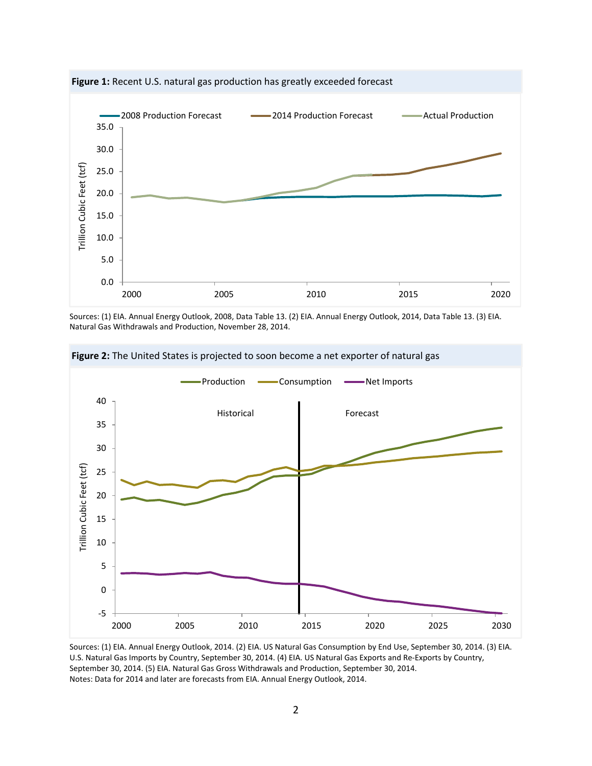

**Figure 1:** Recent U.S. natural gas production has greatly exceeded forecast

Sources: (1) EIA. Annual Energy Outlook, 2008, Data Table 13. (2) EIA. Annual Energy Outlook, 2014, Data Table 13. (3) EIA. Natural Gas Withdrawals and Production, November 28, 2014.



**Figure 2:** The United States is projected to soon become a net exporter of natural gas

Sources: (1) EIA. Annual Energy Outlook, 2014. (2) EIA. US Natural Gas Consumption by End Use, September 30, 2014. (3) EIA. U.S. Natural Gas Imports by Country, September 30, 2014. (4) EIA. US Natural Gas Exports and Re-Exports by Country, September 30, 2014. (5) EIA. Natural Gas Gross Withdrawals and Production, September 30, 2014. Notes: Data for 2014 and later are forecasts from EIA. Annual Energy Outlook, 2014.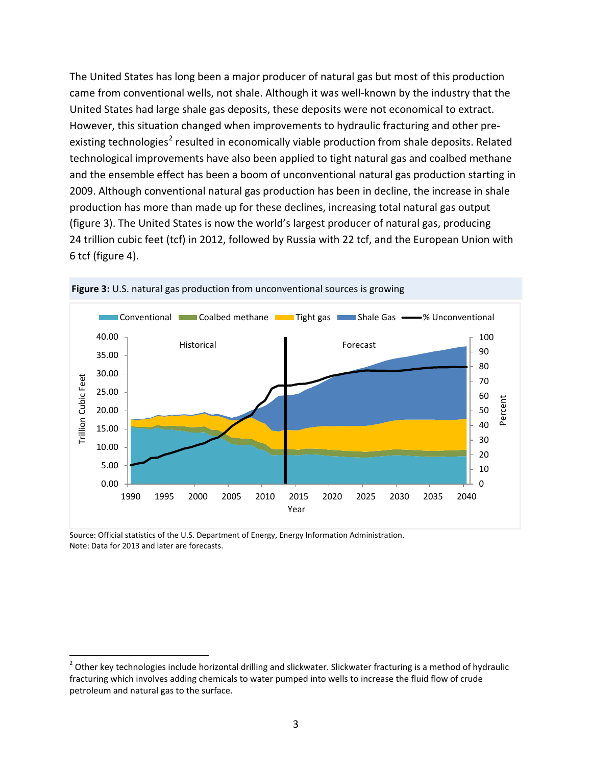The United States has long been a major producer of natural gas but most of this production came from conventional wells, not shale. Although it was well-known by the industry that the United States had large shale gas deposits, these deposits were not economical to extract. However, this situation changed when improvements to hydraulic fracturing and other pre-existing technologies<sup>[2](#page-6-0)</sup> resulted in economically viable production from shale deposits. Related technological improvements have also been applied to tight natural gas and coalbed methane and the ensemble effect has been a boom of unconventional natural gas production starting in 2009. Although conventional natural gas production has been in decline, the increase in shale production has more than made up for these declines, increasing total natural gas output (figure 3). The United States is now the world's largest producer of natural gas, producing 24 trillion cubic feet (tcf) in 2012, followed by Russia with 22 tcf, and the European Union with 6 tcf (figure 4).





Source: Official statistics of the U.S. Department of Energy, Energy Information Administration. Note: Data for 2013 and later are forecasts.

<span id="page-6-0"></span> $2$  Other key technologies include horizontal drilling and slickwater. Slickwater fracturing is a method of hydraulic fracturing which involves adding chemicals to water pumped into wells to increase the fluid flow of crude petroleum and natural gas to the surface.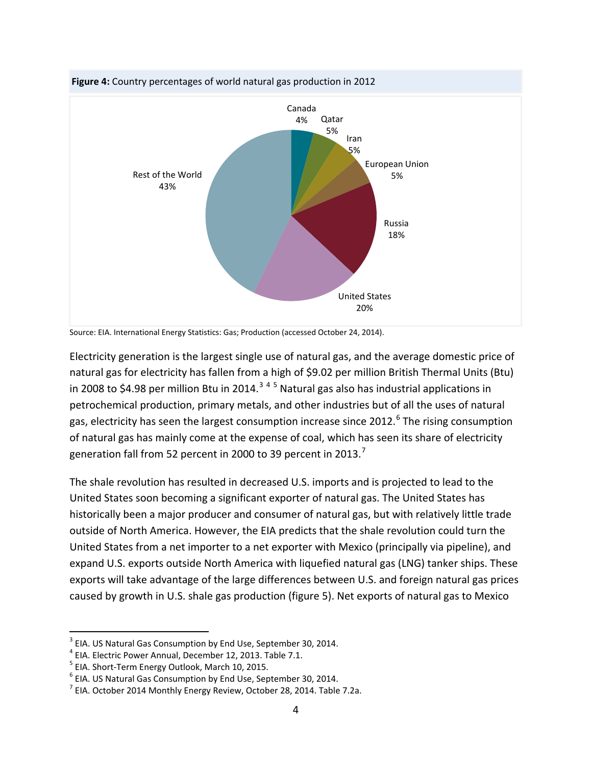



Electricity generation is the largest single use of natural gas, and the average domestic price of natural gas for electricity has fallen from a high of \$9.02 per million British Thermal Units (Btu) in 2008 to \$4.98 per million Btu in 2014.<sup>[3](#page-7-0)[4](#page-7-1)[5](#page-7-2)</sup> Natural gas also has industrial applications in petrochemical production, primary metals, and other industries but of all the uses of natural gas, electricity has seen the largest consumption increase since 2012.<sup>[6](#page-7-3)</sup> The rising consumption of natural gas has mainly come at the expense of coal, which has seen its share of electricity generation fall from 52 percent in 2000 to 39 percent in 2013.<sup>[7](#page-7-4)</sup>

The shale revolution has resulted in decreased U.S. imports and is projected to lead to the United States soon becoming a significant exporter of natural gas. The United States has historically been a major producer and consumer of natural gas, but with relatively little trade outside of North America. However, the EIA predicts that the shale revolution could turn the United States from a net importer to a net exporter with Mexico (principally via pipeline), and expand U.S. exports outside North America with liquefied natural gas (LNG) tanker ships. These exports will take advantage of the large differences between U.S. and foreign natural gas prices caused by growth in U.S. shale gas production (figure 5). Net exports of natural gas to Mexico

Source: EIA. International Energy Statistics: Gas; Production (accessed October 24, 2014).

<span id="page-7-0"></span> $3$  EIA. US Natural Gas Consumption by End Use, September 30, 2014.<br> $4$  EIA. Electric Power Annual, December 12, 2013. Table 7.1.<br> $5$  EIA. Short-Term Energy Outlook, March 10, 2015.

<span id="page-7-1"></span>

<span id="page-7-2"></span>

<span id="page-7-4"></span><span id="page-7-3"></span>

<sup>&</sup>lt;sup>6</sup> EIA. US Natural Gas Consumption by End Use, September 30, 2014.<br><sup>7</sup> EIA. October 2014 Monthly Energy Review, October 28, 2014. Table 7.2a.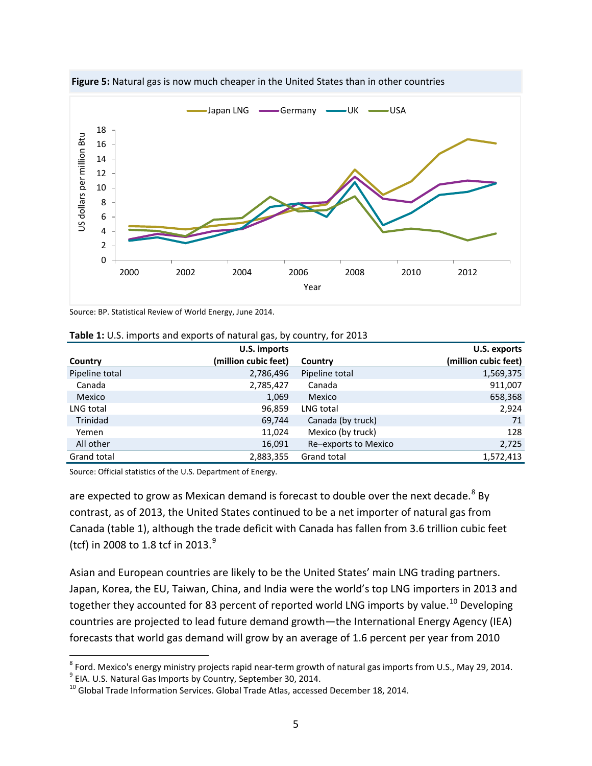

**Figure 5:** Natural gas is now much cheaper in the United States than in other countries

Source: BP. Statistical Review of World Energy, June 2014.

|                | U.S. imports         |                      | U.S. exports         |
|----------------|----------------------|----------------------|----------------------|
| Country        | (million cubic feet) | Country              | (million cubic feet) |
| Pipeline total | 2,786,496            | Pipeline total       | 1,569,375            |
| Canada         | 2,785,427            | Canada               | 911,007              |
| Mexico         | 1,069                | Mexico               | 658,368              |
| LNG total      | 96,859               | LNG total            | 2,924                |
| Trinidad       | 69,744               | Canada (by truck)    | 71                   |
| Yemen          | 11,024               | Mexico (by truck)    | 128                  |
| All other      | 16,091               | Re-exports to Mexico | 2,725                |
| Grand total    | 2,883,355            | Grand total          | 1,572,413            |

|  |  | Table 1: U.S. imports and exports of natural gas, by country, for 2013 |  |  |
|--|--|------------------------------------------------------------------------|--|--|
|--|--|------------------------------------------------------------------------|--|--|

Source: Official statistics of the U.S. Department of Energy.

 $\overline{a}$ 

are expected to grow as Mexican demand is forecast to double over the next decade. $8$  By contrast, as of 2013, the United States continued to be a net importer of natural gas from Canada (table 1), although the trade deficit with Canada has fallen from 3.6 trillion cubic feet (tcf) in 2008 to 1.8 tcf in 2013.<sup>[9](#page-8-1)</sup>

Asian and European countries are likely to be the United States' main LNG trading partners. Japan, Korea, the EU, Taiwan, China, and India were the world's top LNG importers in 2013 and together they accounted for 83 percent of reported world LNG imports by value.<sup>[10](#page-8-2)</sup> Developing countries are projected to lead future demand growth—the International Energy Agency (IEA) forecasts that world gas demand will grow by an average of 1.6 percent per year from 2010

<span id="page-8-1"></span><span id="page-8-0"></span><sup>&</sup>lt;sup>8</sup> Ford. Mexico's energy ministry projects rapid near-term growth of natural gas imports from U.S., May 29, 2014.<br><sup>9</sup> EIA. U.S. Natural Gas Imports by Country, September 30, 2014.<br><sup>10</sup> Global Trade Information Services. G

<span id="page-8-2"></span>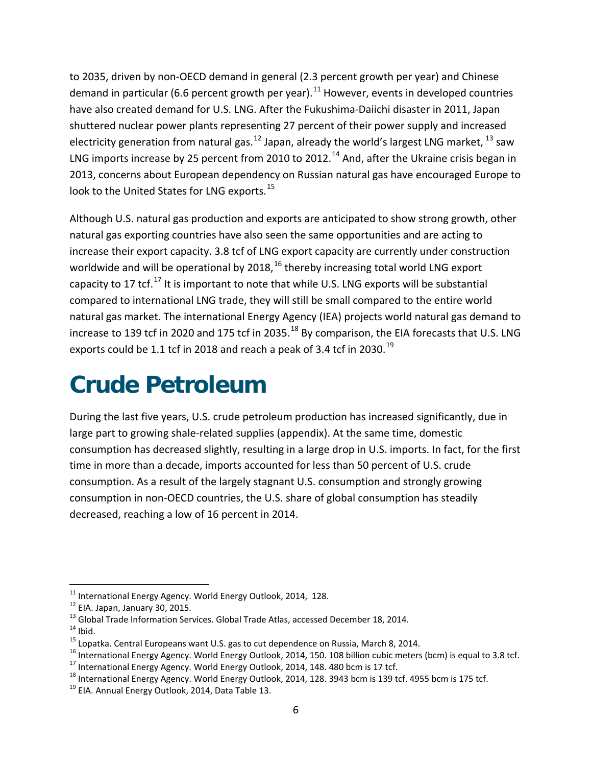to 2035, driven by non-OECD demand in general (2.3 percent growth per year) and Chinese demand in particular (6.6 percent growth per year).<sup>[11](#page-9-0)</sup> However, events in developed countries have also created demand for U.S. LNG. After the Fukushima-Daiichi disaster in 2011, Japan shuttered nuclear power plants representing 27 percent of their power supply and increased electricity generation from natural gas.<sup>[12](#page-9-1)</sup> Japan, already the world's largest LNG market,  $^{13}$  $^{13}$  $^{13}$  saw LNG imports increase by 25 percent from 2010 to 2012.<sup>[14](#page-9-3)</sup> And, after the Ukraine crisis began in 2013, concerns about European dependency on Russian natural gas have encouraged Europe to look to the United States for LNG exports.<sup>[15](#page-9-4)</sup>

Although U.S. natural gas production and exports are anticipated to show strong growth, other natural gas exporting countries have also seen the same opportunities and are acting to increase their export capacity. 3.8 tcf of LNG export capacity are currently under construction worldwide and will be operational by  $2018<sup>16</sup>$  $2018<sup>16</sup>$  $2018<sup>16</sup>$  thereby increasing total world LNG export capacity to [17](#page-9-6) tcf.<sup>17</sup> It is important to note that while U.S. LNG exports will be substantial compared to international LNG trade, they will still be small compared to the entire world natural gas market. The international Energy Agency (IEA) projects world natural gas demand to increase to 139 tcf in 2020 and 175 tcf in 2035.<sup>[18](#page-9-7)</sup> By comparison, the EIA forecasts that U.S. LNG exports could be 1.1 tcf in 2018 and reach a peak of 3.4 tcf in 2030.<sup>[19](#page-9-8)</sup>

## **Crude Petroleum**

During the last five years, U.S. crude petroleum production has increased significantly, due in large part to growing shale-related supplies (appendix). At the same time, domestic consumption has decreased slightly, resulting in a large drop in U.S. imports. In fact, for the first time in more than a decade, imports accounted for less than 50 percent of U.S. crude consumption. As a result of the largely stagnant U.S. consumption and strongly growing consumption in non-OECD countries, the U.S. share of global consumption has steadily decreased, reaching a low of 16 percent in 2014.

<span id="page-9-0"></span><sup>&</sup>lt;sup>11</sup> International Energy Agency. World Energy Outlook, 2014, 128.

<span id="page-9-3"></span>

<span id="page-9-5"></span><span id="page-9-4"></span>

<span id="page-9-2"></span><span id="page-9-1"></span><sup>&</sup>lt;sup>12</sup> EIA. Japan, January 30, 2015.<br><sup>13</sup> Global Trade Information Services. Global Trade Atlas, accessed December 18, 2014.<br><sup>14</sup> Ibid.<br><sup>15</sup> Lopatka. Central Europeans want U.S. gas to cut dependence on Russia, March 8, 201

<span id="page-9-6"></span>

<span id="page-9-7"></span>

<span id="page-9-8"></span>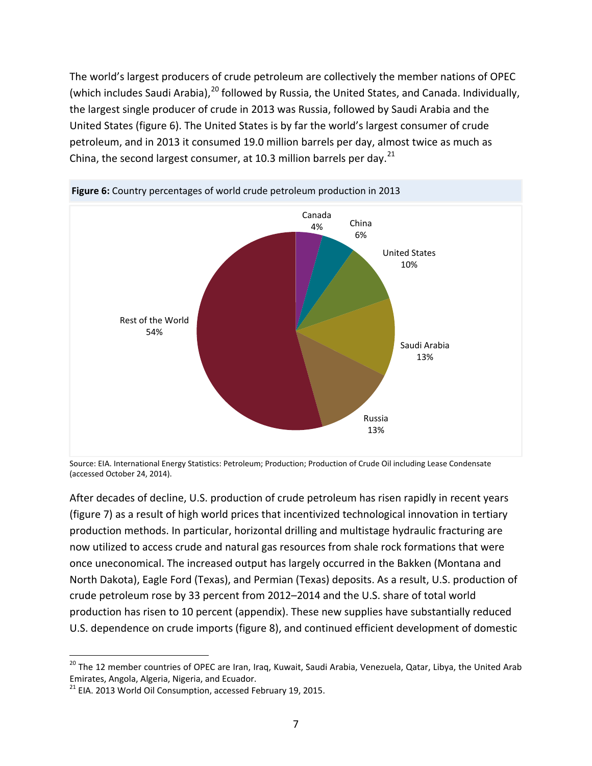The world's largest producers of crude petroleum are collectively the member nations of OPEC (which includes Saudi Arabia),<sup>[20](#page-10-0)</sup> followed by Russia, the United States, and Canada. Individually, the largest single producer of crude in 2013 was Russia, followed by Saudi Arabia and the United States (figure 6). The United States is by far the world's largest consumer of crude petroleum, and in 2013 it consumed 19.0 million barrels per day, almost twice as much as China, the second largest consumer, at 10.3 million barrels per day. $^{21}$  $^{21}$  $^{21}$ 





Source: EIA. International Energy Statistics: Petroleum; Production; Production of Crude Oil including Lease Condensate (accessed October 24, 2014).

After decades of decline, U.S. production of crude petroleum has risen rapidly in recent years (figure 7) as a result of high world prices that incentivized technological innovation in tertiary production methods. In particular, horizontal drilling and multistage hydraulic fracturing are now utilized to access crude and natural gas resources from shale rock formations that were once uneconomical. The increased output has largely occurred in the Bakken (Montana and North Dakota), Eagle Ford (Texas), and Permian (Texas) deposits. As a result, U.S. production of crude petroleum rose by 33 percent from 2012–2014 and the U.S. share of total world production has risen to 10 percent (appendix). These new supplies have substantially reduced U.S. dependence on crude imports (figure 8), and continued efficient development of domestic

<span id="page-10-0"></span><sup>&</sup>lt;sup>20</sup> The 12 member countries of OPEC are Iran, Iraq, Kuwait, Saudi Arabia, Venezuela, Qatar, Libya, the United Arab Emirates, Angola, Algeria, Nigeria, and Ecuador.

<span id="page-10-1"></span> $21$  EIA. 2013 World Oil Consumption, accessed February 19, 2015.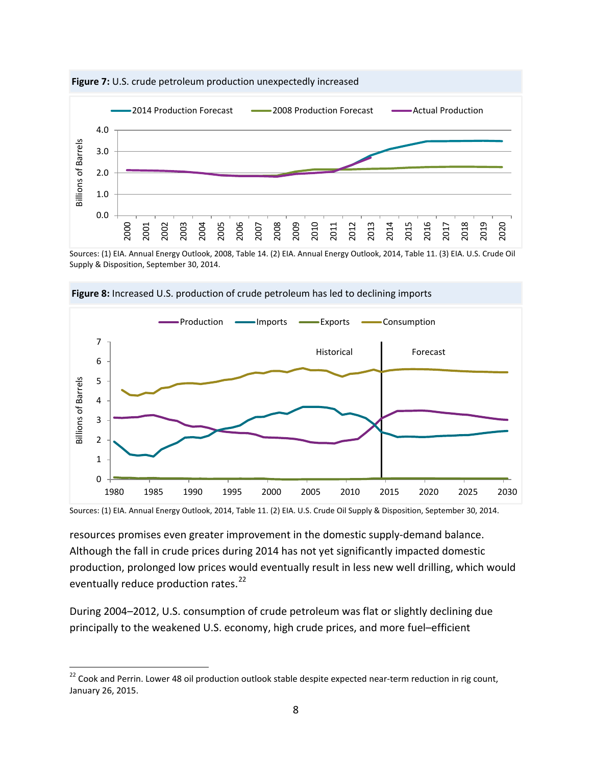

**Figure 7:** U.S. crude petroleum production unexpectedly increased

Sources: (1) EIA. Annual Energy Outlook, 2008, Table 14. (2) EIA. Annual Energy Outlook, 2014, Table 11. (3) EIA. U.S. Crude Oil Supply & Disposition, September 30, 2014.



**Figure 8:** Increased U.S. production of crude petroleum has led to declining imports

Sources: (1) EIA. Annual Energy Outlook, 2014, Table 11. (2) EIA. U.S. Crude Oil Supply & Disposition, September 30, 2014.

resources promises even greater improvement in the domestic supply-demand balance. Although the fall in crude prices during 2014 has not yet significantly impacted domestic production, prolonged low prices would eventually result in less new well drilling, which would eventually reduce production rates.<sup>[22](#page-11-0)</sup>

During 2004–2012, U.S. consumption of crude petroleum was flat or slightly declining due principally to the weakened U.S. economy, high crude prices, and more fuel–efficient

<span id="page-11-0"></span> $^{22}$  Cook and Perrin. Lower 48 oil production outlook stable despite expected near-term reduction in rig count, January 26, 2015.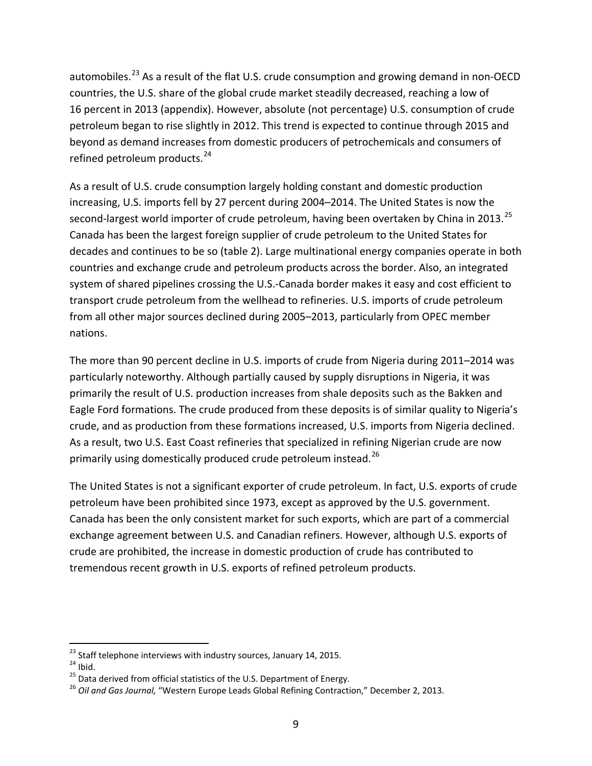automobiles.<sup>[23](#page-12-0)</sup> As a result of the flat U.S. crude consumption and growing demand in non-OECD countries, the U.S. share of the global crude market steadily decreased, reaching a low of 16 percent in 2013 (appendix). However, absolute (not percentage) U.S. consumption of crude petroleum began to rise slightly in 2012. This trend is expected to continue through 2015 and beyond as demand increases from domestic producers of petrochemicals and consumers of refined petroleum products.<sup>[24](#page-12-1)</sup>

As a result of U.S. crude consumption largely holding constant and domestic production increasing, U.S. imports fell by 27 percent during 2004–2014. The United States is now the second-largest world importer of crude petroleum, having been overtaken by China in 2013.<sup>[25](#page-12-2)</sup> Canada has been the largest foreign supplier of crude petroleum to the United States for decades and continues to be so (table 2). Large multinational energy companies operate in both countries and exchange crude and petroleum products across the border. Also, an integrated system of shared pipelines crossing the U.S.-Canada border makes it easy and cost efficient to transport crude petroleum from the wellhead to refineries. U.S. imports of crude petroleum from all other major sources declined during 2005–2013, particularly from OPEC member nations.

The more than 90 percent decline in U.S. imports of crude from Nigeria during 2011–2014 was particularly noteworthy. Although partially caused by supply disruptions in Nigeria, it was primarily the result of U.S. production increases from shale deposits such as the Bakken and Eagle Ford formations. The crude produced from these deposits is of similar quality to Nigeria's crude, and as production from these formations increased, U.S. imports from Nigeria declined. As a result, two U.S. East Coast refineries that specialized in refining Nigerian crude are now primarily using domestically produced crude petroleum instead.<sup>[26](#page-12-3)</sup>

The United States is not a significant exporter of crude petroleum. In fact, U.S. exports of crude petroleum have been prohibited since 1973, except as approved by the U.S. government. Canada has been the only consistent market for such exports, which are part of a commercial exchange agreement between U.S. and Canadian refiners. However, although U.S. exports of crude are prohibited, the increase in domestic production of crude has contributed to tremendous recent growth in U.S. exports of refined petroleum products.

<span id="page-12-1"></span>

<span id="page-12-3"></span><span id="page-12-2"></span>

<span id="page-12-0"></span><sup>&</sup>lt;sup>23</sup> Staff telephone interviews with industry sources, January 14, 2015.<br><sup>24</sup> Ibid.<br><sup>25</sup> Data derived from official statistics of the U.S. Department of Energy.<br><sup>25</sup> Oil and Gas Journal. "Western Europe Leads Global Refin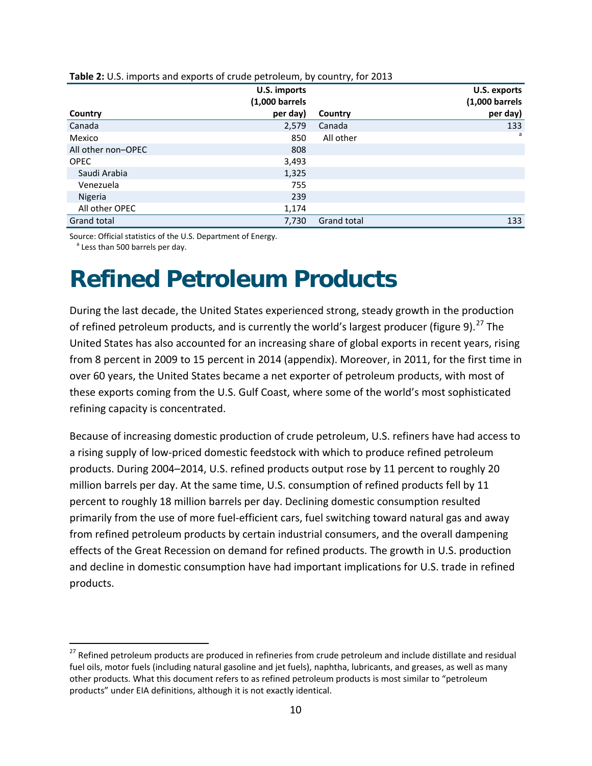|                    | U.S. imports<br>$(1,000 \text{ barrels})$ |             | U.S. exports<br>$(1,000 \text{ barrels})$ |
|--------------------|-------------------------------------------|-------------|-------------------------------------------|
| Country            | per day)                                  | Country     | per day)                                  |
| Canada             | 2,579                                     | Canada      | 133                                       |
| Mexico             | 850                                       | All other   | a                                         |
| All other non-OPEC | 808                                       |             |                                           |
| <b>OPEC</b>        | 3,493                                     |             |                                           |
| Saudi Arabia       | 1,325                                     |             |                                           |
| Venezuela          | 755                                       |             |                                           |
| Nigeria            | 239                                       |             |                                           |
| All other OPEC     | 1,174                                     |             |                                           |
| Grand total        | 7,730                                     | Grand total | 133                                       |

**Table 2:** U.S. imports and exports of crude petroleum, by country, for 2013

Source: Official statistics of the U.S. Department of Energy.<br><sup>a</sup> Less than 500 barrels per day.

 $\overline{a}$ 

### **Refined Petroleum Products**

During the last decade, the United States experienced strong, steady growth in the production of refined petroleum products, and is currently the world's largest producer (figure 9).<sup>[27](#page-13-0)</sup> The United States has also accounted for an increasing share of global exports in recent years, rising from 8 percent in 2009 to 15 percent in 2014 (appendix). Moreover, in 2011, for the first time in over 60 years, the United States became a net exporter of petroleum products, with most of these exports coming from the U.S. Gulf Coast, where some of the world's most sophisticated refining capacity is concentrated.

Because of increasing domestic production of crude petroleum, U.S. refiners have had access to a rising supply of low-priced domestic feedstock with which to produce refined petroleum products. During 2004–2014, U.S. refined products output rose by 11 percent to roughly 20 million barrels per day. At the same time, U.S. consumption of refined products fell by 11 percent to roughly 18 million barrels per day. Declining domestic consumption resulted primarily from the use of more fuel-efficient cars, fuel switching toward natural gas and away from refined petroleum products by certain industrial consumers, and the overall dampening effects of the Great Recession on demand for refined products. The growth in U.S. production and decline in domestic consumption have had important implications for U.S. trade in refined products.

<span id="page-13-0"></span><sup>&</sup>lt;sup>27</sup> Refined petroleum products are produced in refineries from crude petroleum and include distillate and residual fuel oils, motor fuels (including natural gasoline and jet fuels), naphtha, lubricants, and greases, as well as many other products. What this document refers to as refined petroleum products is most similar to "petroleum products" under EIA definitions, although it is not exactly identical.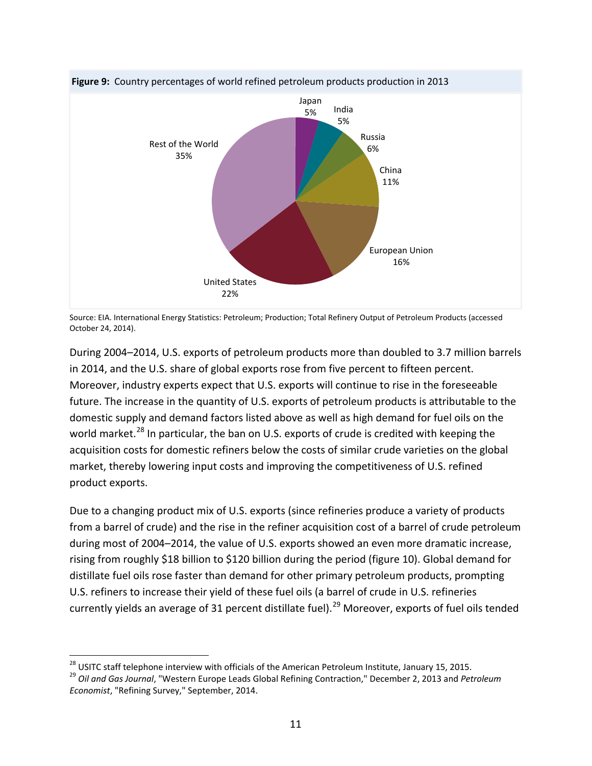

**Figure 9:** Country percentages of world refined petroleum products production in 2013

During 2004–2014, U.S. exports of petroleum products more than doubled to 3.7 million barrels in 2014, and the U.S. share of global exports rose from five percent to fifteen percent. Moreover, industry experts expect that U.S. exports will continue to rise in the foreseeable future. The increase in the quantity of U.S. exports of petroleum products is attributable to the domestic supply and demand factors listed above as well as high demand for fuel oils on the world market.<sup>[28](#page-14-0)</sup> In particular, the ban on U.S. exports of crude is credited with keeping the acquisition costs for domestic refiners below the costs of similar crude varieties on the global market, thereby lowering input costs and improving the competitiveness of U.S. refined product exports.

Due to a changing product mix of U.S. exports (since refineries produce a variety of products from a barrel of crude) and the rise in the refiner acquisition cost of a barrel of crude petroleum during most of 2004–2014, the value of U.S. exports showed an even more dramatic increase, rising from roughly \$18 billion to \$120 billion during the period (figure 10). Global demand for distillate fuel oils rose faster than demand for other primary petroleum products, prompting U.S. refiners to increase their yield of these fuel oils (a barrel of crude in U.S. refineries currently yields an average of 31 percent distillate fuel).<sup>[29](#page-14-1)</sup> Moreover, exports of fuel oils tended

Source: EIA. International Energy Statistics: Petroleum; Production; Total Refinery Output of Petroleum Products (accessed October 24, 2014).

<span id="page-14-1"></span>

<span id="page-14-0"></span><sup>&</sup>lt;sup>28</sup> USITC staff telephone interview with officials of the American Petroleum Institute, January 15, 2015.<br><sup>29</sup> Oil and Gas Journal, "Western Europe Leads Global Refining Contraction," December 2, 2013 and Petroleum *Economist*, "Refining Survey," September, 2014.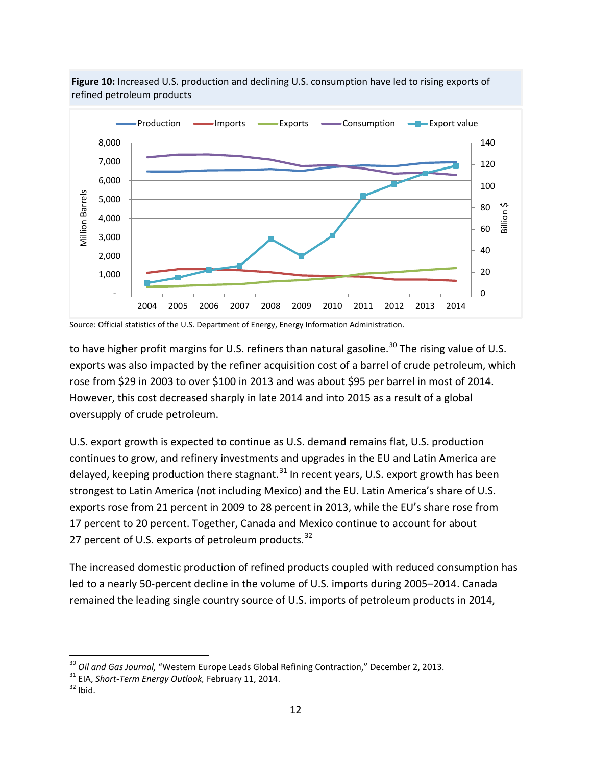

**Figure 10:** Increased U.S. production and declining U.S. consumption have led to rising exports of refined petroleum products

to have higher profit margins for U.S. refiners than natural gasoline.<sup>[30](#page-15-0)</sup> The rising value of U.S. exports was also impacted by the refiner acquisition cost of a barrel of crude petroleum, which rose from \$29 in 2003 to over \$100 in 2013 and was about \$95 per barrel in most of 2014. However, this cost decreased sharply in late 2014 and into 2015 as a result of a global oversupply of crude petroleum.

U.S. export growth is expected to continue as U.S. demand remains flat, U.S. production continues to grow, and refinery investments and upgrades in the EU and Latin America are delayed, keeping production there stagnant.  $31$  In recent years, U.S. export growth has been strongest to Latin America (not including Mexico) and the EU. Latin America's share of U.S. exports rose from 21 percent in 2009 to 28 percent in 2013, while the EU's share rose from 17 percent to 20 percent. Together, Canada and Mexico continue to account for about 27 percent of U.S. exports of petroleum products. $32$ 

The increased domestic production of refined products coupled with reduced consumption has led to a nearly 50-percent decline in the volume of U.S. imports during 2005–2014. Canada remained the leading single country source of U.S. imports of petroleum products in 2014,

Source: Official statistics of the U.S. Department of Energy, Energy Information Administration.

<span id="page-15-0"></span><sup>&</sup>lt;sup>30</sup> *Oil and Gas Journal,* "Western Europe Leads Global Refining Contraction," December 2, 2013.<br><sup>31</sup> EIA, *Short-Term Energy Outlook, February 11*, 2014.<br><sup>32</sup> Ibid

<span id="page-15-1"></span>

<span id="page-15-2"></span>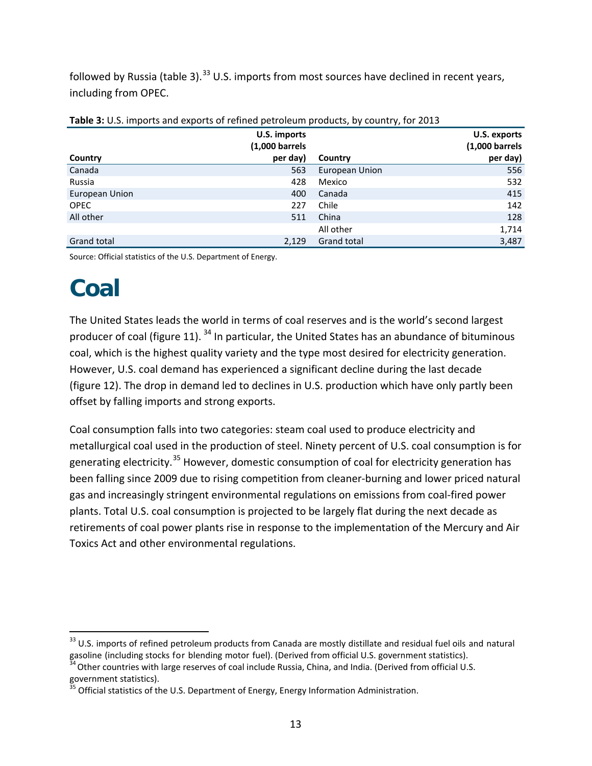followed by Russia (table 3).<sup>[33](#page-16-0)</sup> U.S. imports from most sources have declined in recent years, including from OPEC.

| <b>TWATE OF STOP IMPORTS AND CAPONES OF FUNNICAL PULSICIAN PROGRESS</b> BY COMMERTS TOP EGES |                           |                |                           |  |  |  |  |
|----------------------------------------------------------------------------------------------|---------------------------|----------------|---------------------------|--|--|--|--|
|                                                                                              | U.S. imports              |                | U.S. exports              |  |  |  |  |
|                                                                                              | $(1,000 \text{ barrels})$ |                | $(1,000 \text{ barrels})$ |  |  |  |  |
| Country                                                                                      | per day)                  | Country        | per day)                  |  |  |  |  |
| Canada                                                                                       | 563                       | European Union | 556                       |  |  |  |  |
| Russia                                                                                       | 428                       | Mexico         | 532                       |  |  |  |  |
| European Union                                                                               | 400                       | Canada         | 415                       |  |  |  |  |
| <b>OPEC</b>                                                                                  | 227                       | Chile          | 142                       |  |  |  |  |
| All other                                                                                    | 511                       | China          | 128                       |  |  |  |  |
|                                                                                              |                           | All other      | 1,714                     |  |  |  |  |
| Grand total                                                                                  | 2,129                     | Grand total    | 3,487                     |  |  |  |  |

| Table 3: U.S. imports and exports of refined petroleum products, by country, for 2013 |  |  |  |  |
|---------------------------------------------------------------------------------------|--|--|--|--|
|                                                                                       |  |  |  |  |

Source: Official statistics of the U.S. Department of Energy.

# **Coal**

The United States leads the world in terms of coal reserves and is the world's second largest producer of coal (figure 11).  $34$  In particular, the United States has an abundance of bituminous coal, which is the highest quality variety and the type most desired for electricity generation. However, U.S. coal demand has experienced a significant decline during the last decade (figure 12). The drop in demand led to declines in U.S. production which have only partly been offset by falling imports and strong exports.

Coal consumption falls into two categories: steam coal used to produce electricity and metallurgical coal used in the production of steel. Ninety percent of U.S. coal consumption is for generating electricity.<sup>[35](#page-16-2)</sup> However, domestic consumption of coal for electricity generation has been falling since 2009 due to rising competition from cleaner-burning and lower priced natural gas and increasingly stringent environmental regulations on emissions from coal-fired power plants. Total U.S. coal consumption is projected to be largely flat during the next decade as retirements of coal power plants rise in response to the implementation of the Mercury and Air Toxics Act and other environmental regulations.

<span id="page-16-0"></span><sup>&</sup>lt;sup>33</sup> U.S. imports of refined petroleum products from Canada are mostly distillate and residual fuel oils and natural gasoline (including stocks for blending motor fuel). (Derived from official U.S. government statistics).<br><sup>34</sup>Other countries with large reserves of coal include Russia, China, and India. (Derived from official U.S.

<span id="page-16-2"></span><span id="page-16-1"></span>government statistics).<br><sup>35</sup> Official statistics of the U.S. Department of Energy, Energy Information Administration.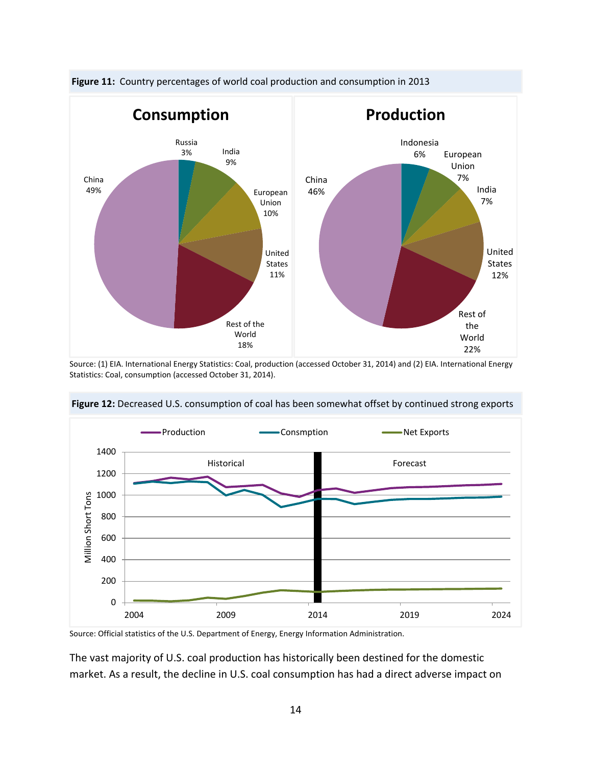

**Figure 11:** Country percentages of world coal production and consumption in 2013

Source: (1) EIA. International Energy Statistics: Coal, production (accessed October 31, 2014) and (2) EIA. International Energy Statistics: Coal, consumption (accessed October 31, 2014).



**Figure 12:** Decreased U.S. consumption of coal has been somewhat offset by continued strong exports

Source: Official statistics of the U.S. Department of Energy, Energy Information Administration.

The vast majority of U.S. coal production has historically been destined for the domestic market. As a result, the decline in U.S. coal consumption has had a direct adverse impact on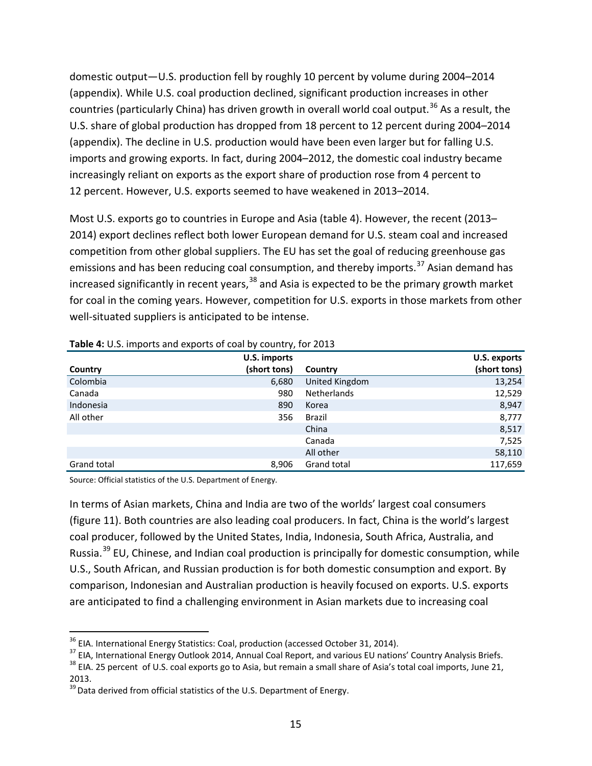domestic output—U.S. production fell by roughly 10 percent by volume during 2004–2014 (appendix). While U.S. coal production declined, significant production increases in other countries (particularly China) has driven growth in overall world coal output.<sup>[36](#page-18-0)</sup> As a result, the U.S. share of global production has dropped from 18 percent to 12 percent during 2004–2014 (appendix). The decline in U.S. production would have been even larger but for falling U.S. imports and growing exports. In fact, during 2004–2012, the domestic coal industry became increasingly reliant on exports as the export share of production rose from 4 percent to 12 percent. However, U.S. exports seemed to have weakened in 2013–2014.

Most U.S. exports go to countries in Europe and Asia (table 4). However, the recent (2013– 2014) export declines reflect both lower European demand for U.S. steam coal and increased competition from other global suppliers. The EU has set the goal of reducing greenhouse gas emissions and has been reducing coal consumption, and thereby imports.<sup>[37](#page-18-1)</sup> Asian demand has increased significantly in recent years,  $38$  and Asia is expected to be the primary growth market for coal in the coming years. However, competition for U.S. exports in those markets from other well-situated suppliers is anticipated to be intense.

|                    | . .          |                |              |
|--------------------|--------------|----------------|--------------|
|                    | U.S. imports |                | U.S. exports |
| Country            | (short tons) | Country        | (short tons) |
| Colombia           | 6,680        | United Kingdom | 13,254       |
| Canada             | 980          | Netherlands    | 12,529       |
| Indonesia          | 890          | Korea          | 8,947        |
| All other          | 356          | Brazil         | 8,777        |
|                    |              | China          | 8,517        |
|                    |              | Canada         | 7,525        |
|                    |              | All other      | 58,110       |
| <b>Grand total</b> | 8.906        | Grand total    | 117,659      |

#### **Table 4:** U.S. imports and exports of coal by country, for 2013

Source: Official statistics of the U.S. Department of Energy.

In terms of Asian markets, China and India are two of the worlds' largest coal consumers (figure 11). Both countries are also leading coal producers. In fact, China is the world's largest coal producer, followed by the United States, India, Indonesia, South Africa, Australia, and Russia.<sup>[39](#page-18-3)</sup> EU, Chinese, and Indian coal production is principally for domestic consumption, while U.S., South African, and Russian production is for both domestic consumption and export. By comparison, Indonesian and Australian production is heavily focused on exports. U.S. exports are anticipated to find a challenging environment in Asian markets due to increasing coal

 $\overline{a}$ 

<span id="page-18-1"></span><span id="page-18-0"></span><sup>&</sup>lt;sup>36</sup> EIA. International Energy Statistics: Coal, production (accessed October 31, 2014).<br><sup>37</sup> EIA, International Energy Outlook 2014, Annual Coal Report, and various EU nations' Country Analysis Briefs.<br><sup>38</sup> EIA. 25 percen

<span id="page-18-2"></span><sup>2013.</sup>

<span id="page-18-3"></span> $39$  Data derived from official statistics of the U.S. Department of Energy.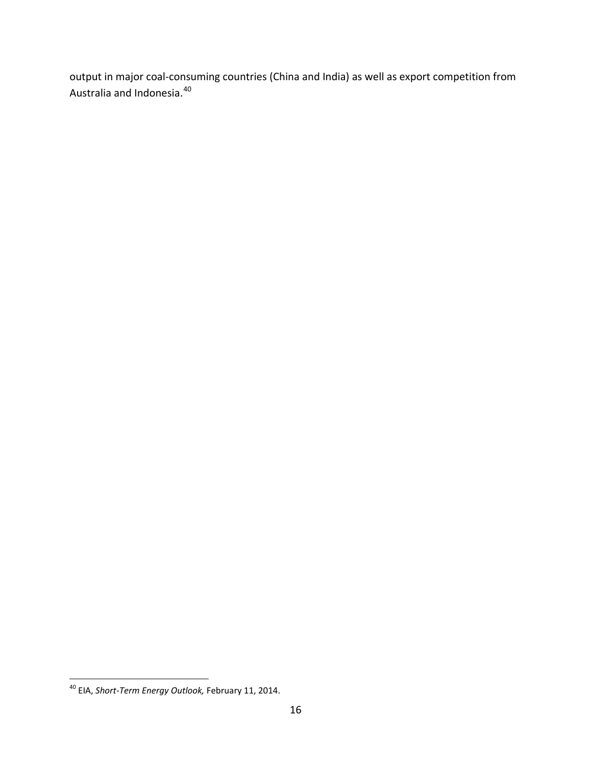output in major coal-consuming countries (China and India) as well as export competition from Australia and Indonesia.<sup>[40](#page-19-0)</sup>

<span id="page-19-0"></span><sup>40</sup> EIA, *Short-Term Energy Outlook,* February 11, 2014.  $\overline{a}$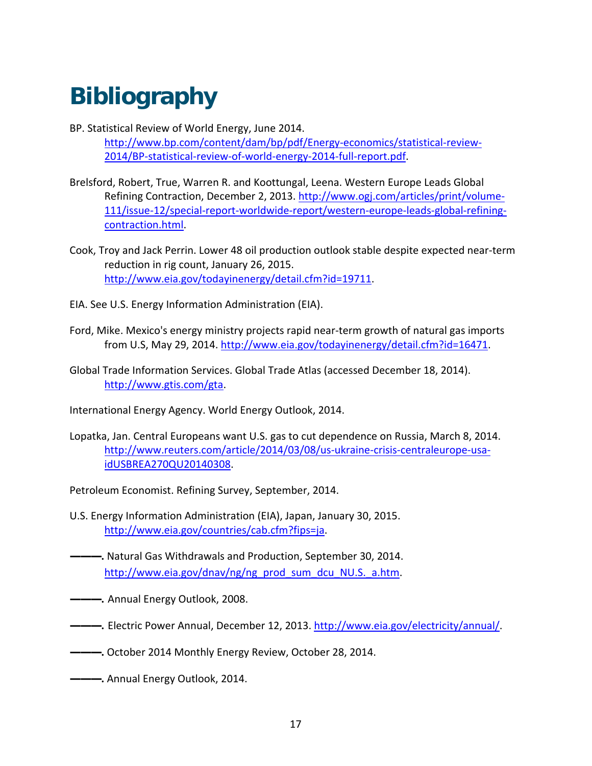# **Bibliography**

- BP. Statistical Review of World Energy, June 2014. [http://www.bp.com/content/dam/bp/pdf/Energy-economics/statistical-review-](http://www.bp.com/content/dam/bp/pdf/Energy-economics/statistical-review-2014/BP-statistical-review-of-world-energy-2014-full-report.pdf)[2014/BP-statistical-review-of-world-energy-2014-full-report.pdf.](http://www.bp.com/content/dam/bp/pdf/Energy-economics/statistical-review-2014/BP-statistical-review-of-world-energy-2014-full-report.pdf)
- Brelsford, Robert, True, Warren R. and Koottungal, Leena. Western Europe Leads Global Refining Contraction, December 2, 2013. [http://www.ogj.com/articles/print/volume-](http://www.ogj.com/articles/print/volume-111/issue-12/special-report-worldwide-report/western-europe-leads-global-refining-contraction.html)[111/issue-12/special-report-worldwide-report/western-europe-leads-global-refining](http://www.ogj.com/articles/print/volume-111/issue-12/special-report-worldwide-report/western-europe-leads-global-refining-contraction.html)[contraction.html.](http://www.ogj.com/articles/print/volume-111/issue-12/special-report-worldwide-report/western-europe-leads-global-refining-contraction.html)
- Cook, Troy and Jack Perrin. Lower 48 oil production outlook stable despite expected near-term reduction in rig count, January 26, 2015. [http://www.eia.gov/todayinenergy/detail.cfm?id=19711.](http://www.eia.gov/todayinenergy/detail.cfm?id=19711)
- EIA. See U.S. Energy Information Administration (EIA).
- Ford, Mike. Mexico's energy ministry projects rapid near-term growth of natural gas imports from U.S, May 29, 2014. [http://www.eia.gov/todayinenergy/detail.cfm?id=16471.](http://www.eia.gov/todayinenergy/detail.cfm?id=16471)
- Global Trade Information Services. Global Trade Atlas (accessed December 18, 2014). [http://www.gtis.com/gta.](http://www.gtis.com/gta)

International Energy Agency. World Energy Outlook, 2014.

Lopatka, Jan. Central Europeans want U.S. gas to cut dependence on Russia, March 8, 2014. [http://www.reuters.com/article/2014/03/08/us-ukraine-crisis-centraleurope-usa](http://www.reuters.com/article/2014/03/08/us-ukraine-crisis-centraleurope-usa-idUSBREA270QU20140308)[idUSBREA270QU20140308.](http://www.reuters.com/article/2014/03/08/us-ukraine-crisis-centraleurope-usa-idUSBREA270QU20140308)

Petroleum Economist. Refining Survey, September, 2014.

- U.S. Energy Information Administration (EIA), Japan, January 30, 2015. [http://www.eia.gov/countries/cab.cfm?fips=ja.](http://www.eia.gov/countries/cab.cfm?fips=ja)
- **———.** Natural Gas Withdrawals and Production, September 30, 2014. [http://www.eia.gov/dnav/ng/ng\\_prod\\_sum\\_dcu\\_NU.S.\\_a.htm.](http://www.eia.gov/dnav/ng/ng_prod_sum_dcu_NUS_a.htm)
- **———.** Annual Energy Outlook, 2008.
- **———.** Electric Power Annual, December 12, 2013. [http://www.eia.gov/electricity/annual/.](http://www.eia.gov/electricity/annual/)
- **———.** October 2014 Monthly Energy Review, October 28, 2014.
- **———.** Annual Energy Outlook, 2014.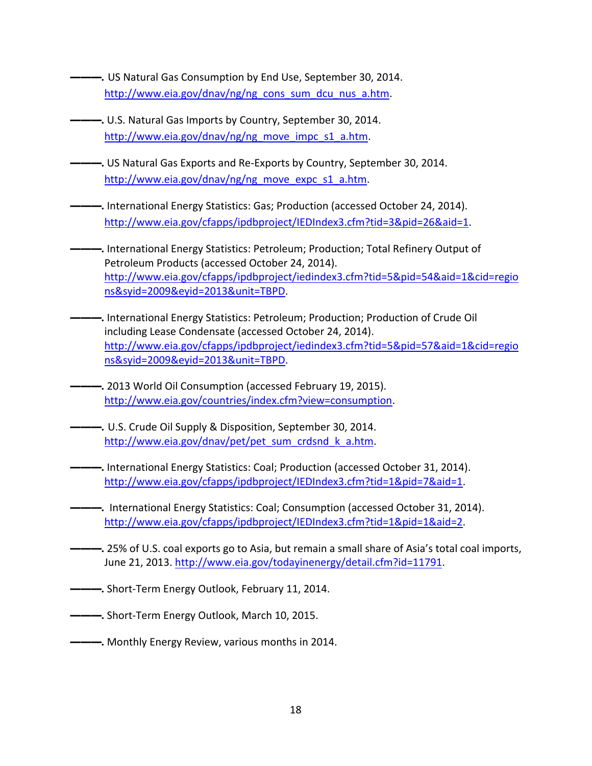- **———.** US Natural Gas Consumption by End Use, September 30, 2014. [http://www.eia.gov/dnav/ng/ng\\_cons\\_sum\\_dcu\\_nus\\_a.htm.](http://www.eia.gov/dnav/ng/ng_cons_sum_dcu_nus_a.htm)
- **———.** U.S. Natural Gas Imports by Country, September 30, 2014. [http://www.eia.gov/dnav/ng/ng\\_move\\_impc\\_s1\\_a.htm.](http://www.eia.gov/dnav/ng/ng_move_impc_s1_a.htm)
- **———.** US Natural Gas Exports and Re-Exports by Country, September 30, 2014. [http://www.eia.gov/dnav/ng/ng\\_move\\_expc\\_s1\\_a.htm.](http://www.eia.gov/dnav/ng/ng_move_expc_s1_a.htm)
- **———.** International Energy Statistics: Gas; Production (accessed October 24, 2014). [http://www.eia.gov/cfapps/ipdbproject/IEDIndex3.cfm?tid=3&pid=26&aid=1.](http://www.eia.gov/cfapps/ipdbproject/IEDIndex3.cfm?tid=3&pid=26&aid=1)
- **———.** International Energy Statistics: Petroleum; Production; Total Refinery Output of Petroleum Products (accessed October 24, 2014). [http://www.eia.gov/cfapps/ipdbproject/iedindex3.cfm?tid=5&pid=54&aid=1&cid=regio](http://www.eia.gov/cfapps/ipdbproject/iedindex3.cfm?tid=5&pid=54&aid=1&cid=regions&syid=2009&eyid=2013&unit=TBPD) [ns&syid=2009&eyid=2013&unit=TBPD.](http://www.eia.gov/cfapps/ipdbproject/iedindex3.cfm?tid=5&pid=54&aid=1&cid=regions&syid=2009&eyid=2013&unit=TBPD)
- **———.** International Energy Statistics: Petroleum; Production; Production of Crude Oil including Lease Condensate (accessed October 24, 2014). [http://www.eia.gov/cfapps/ipdbproject/iedindex3.cfm?tid=5&pid=57&aid=1&cid=regio](http://www.eia.gov/cfapps/ipdbproject/iedindex3.cfm?tid=5&pid=57&aid=1&cid=regions&syid=2009&eyid=2013&unit=TBPD) [ns&syid=2009&eyid=2013&unit=TBPD.](http://www.eia.gov/cfapps/ipdbproject/iedindex3.cfm?tid=5&pid=57&aid=1&cid=regions&syid=2009&eyid=2013&unit=TBPD)
- **———.** 2013 World Oil Consumption (accessed February 19, 2015). [http://www.eia.gov/countries/index.cfm?view=consumption.](http://www.eia.gov/countries/index.cfm?view=consumption)
- **———.** U.S. Crude Oil Supply & Disposition, September 30, 2014. [http://www.eia.gov/dnav/pet/pet\\_sum\\_crdsnd\\_k\\_a.htm.](http://www.eia.gov/dnav/pet/pet_sum_crdsnd_k_a.htm)
- **———.** International Energy Statistics: Coal; Production (accessed October 31, 2014). [http://www.eia.gov/cfapps/ipdbproject/IEDIndex3.cfm?tid=1&pid=7&aid=1.](http://www.eia.gov/cfapps/ipdbproject/IEDIndex3.cfm?tid=1&pid=7&aid=1)
- **———.** International Energy Statistics: Coal; Consumption (accessed October 31, 2014). [http://www.eia.gov/cfapps/ipdbproject/IEDIndex3.cfm?tid=1&pid=1&aid=2.](http://www.eia.gov/cfapps/ipdbproject/IEDIndex3.cfm?tid=1&pid=1&aid=2)
- **———.** 25% of U.S. coal exports go to Asia, but remain a small share of Asia's total coal imports, June 21, 2013. [http://www.eia.gov/todayinenergy/detail.cfm?id=11791.](http://www.eia.gov/todayinenergy/detail.cfm?id=11791)
- **———.** Short-Term Energy Outlook, February 11, 2014.
- **———.** Short-Term Energy Outlook, March 10, 2015.
- **———.** Monthly Energy Review, various months in 2014.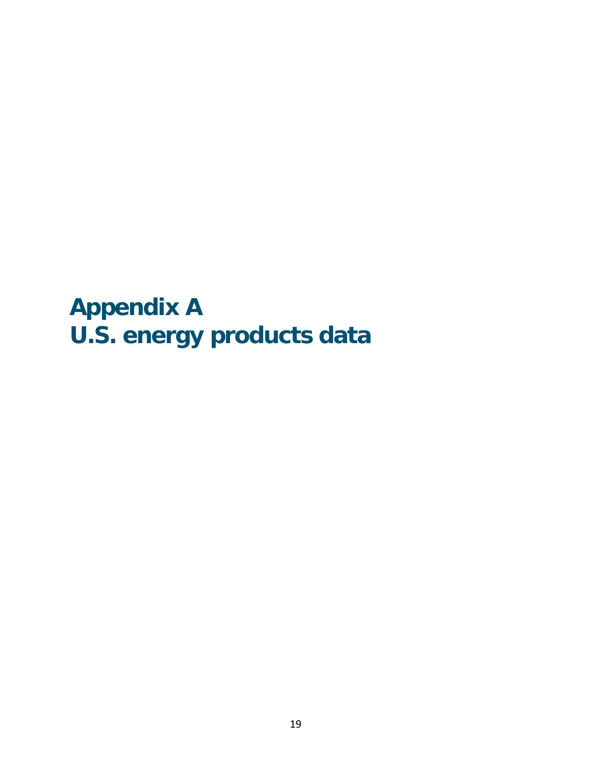**Appendix A U.S. energy products data**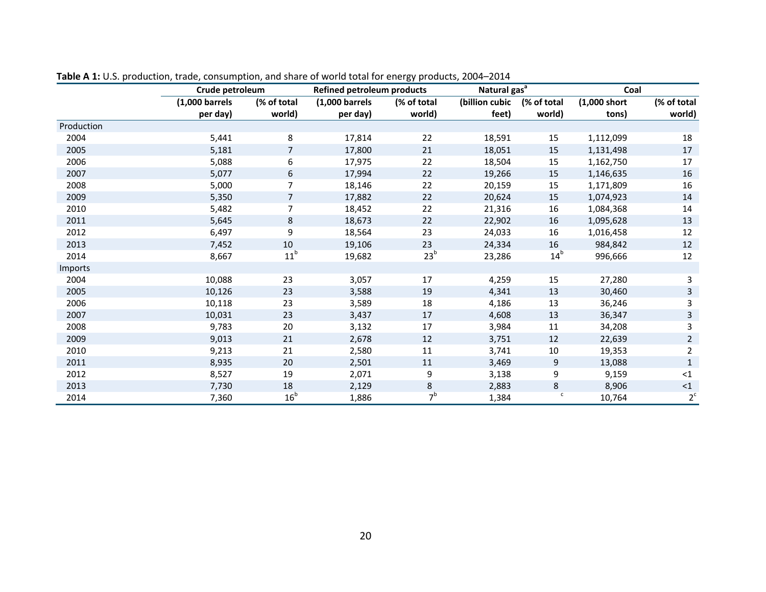|            | Crude petroleum           |                 | <b>Refined petroleum products</b> |                 |                | Natural gas <sup>a</sup> |                | Coal           |  |
|------------|---------------------------|-----------------|-----------------------------------|-----------------|----------------|--------------------------|----------------|----------------|--|
|            | $(1,000 \text{ barrels})$ | (% of total     | $(1,000 \text{ barrels})$         | (% of total     | (billion cubic | (% of total              | $(1,000$ short | (% of total    |  |
|            | per day)                  | world)          | per day)                          | world)          | feet)          | world)                   | tons)          | world)         |  |
| Production |                           |                 |                                   |                 |                |                          |                |                |  |
| 2004       | 5,441                     | 8               | 17,814                            | 22              | 18,591         | 15                       | 1,112,099      | 18             |  |
| 2005       | 5,181                     | $\overline{7}$  | 17,800                            | 21              | 18,051         | 15                       | 1,131,498      | 17             |  |
| 2006       | 5,088                     | 6               | 17,975                            | 22              | 18,504         | 15                       | 1,162,750      | 17             |  |
| 2007       | 5,077                     | 6               | 17,994                            | 22              | 19,266         | 15                       | 1,146,635      | 16             |  |
| 2008       | 5,000                     | 7               | 18,146                            | 22              | 20,159         | 15                       | 1,171,809      | 16             |  |
| 2009       | 5,350                     | $\overline{7}$  | 17,882                            | 22              | 20,624         | $15\,$                   | 1,074,923      | 14             |  |
| 2010       | 5,482                     | 7               | 18,452                            | 22              | 21,316         | 16                       | 1,084,368      | 14             |  |
| 2011       | 5,645                     | 8               | 18,673                            | 22              | 22,902         | 16                       | 1,095,628      | 13             |  |
| 2012       | 6,497                     | 9               | 18,564                            | 23              | 24,033         | 16                       | 1,016,458      | 12             |  |
| 2013       | 7,452                     | 10              | 19,106                            | 23              | 24,334         | 16                       | 984,842        | 12             |  |
| 2014       | 8,667                     | 11 <sup>b</sup> | 19,682                            | 23 <sup>b</sup> | 23,286         | 14 <sup>b</sup>          | 996,666        | 12             |  |
| Imports    |                           |                 |                                   |                 |                |                          |                |                |  |
| 2004       | 10,088                    | 23              | 3,057                             | 17              | 4,259          | 15                       | 27,280         | 3              |  |
| 2005       | 10,126                    | 23              | 3,588                             | 19              | 4,341          | 13                       | 30,460         | $\mathsf{3}$   |  |
| 2006       | 10,118                    | 23              | 3,589                             | 18              | 4,186          | 13                       | 36,246         | 3              |  |
| 2007       | 10,031                    | 23              | 3,437                             | 17              | 4,608          | 13                       | 36,347         | $\mathsf{3}$   |  |
| 2008       | 9,783                     | 20              | 3,132                             | 17              | 3,984          | 11                       | 34,208         | 3              |  |
| 2009       | 9,013                     | 21              | 2,678                             | 12              | 3,751          | 12                       | 22,639         | $\overline{2}$ |  |
| 2010       | 9,213                     | 21              | 2,580                             | 11              | 3,741          | $10\,$                   | 19,353         | $\overline{2}$ |  |
| 2011       | 8,935                     | 20              | 2,501                             | 11              | 3,469          | 9                        | 13,088         | $\mathbf{1}$   |  |
| 2012       | 8,527                     | 19              | 2,071                             | 9               | 3,138          | 9                        | 9,159          | <1             |  |
| 2013       | 7,730                     | 18              | 2,129                             | $\bf 8$         | 2,883          | 8                        | 8,906          | ${<}1$         |  |
| 2014       | 7,360                     | 16 <sup>b</sup> | 1,886                             | 7 <sup>b</sup>  | 1,384          | $\mathsf{c}$             | 10,764         | 2 <sup>c</sup> |  |

**Table A 1:** U.S. production, trade, consumption, and share of world total for energy products, 2004–2014